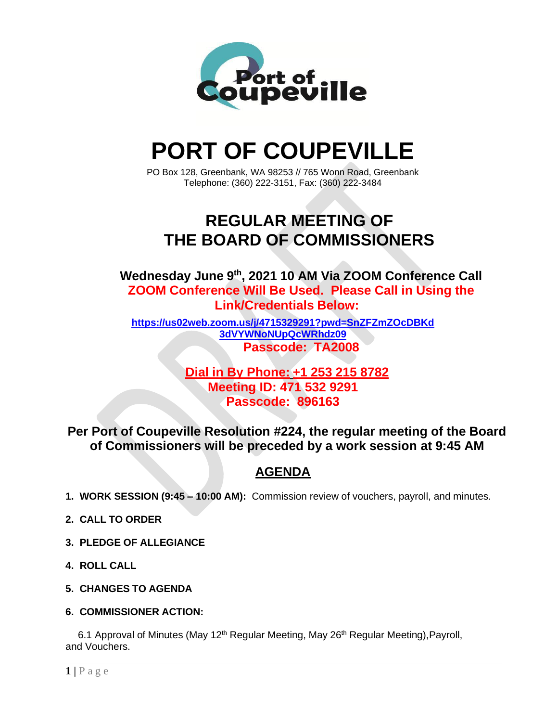

# **PORT OF COUPEVILLE**

PO Box 128, Greenbank, WA 98253 // 765 Wonn Road, Greenbank Telephone: (360) 222-3151, Fax: (360) 222-3484

## **REGULAR MEETING OF THE BOARD OF COMMISSIONERS**

**Wednesday June 9 th , 2021 10 AM Via ZOOM Conference Call ZOOM Conference Will Be Used. Please Call in Using the Link/Credentials Below:**

**[https://us02web.zoom.us/j/4715329291?pwd=SnZFZmZOcDBKd](https://us02web.zoom.us/j/4715329291?pwd=SnZFZmZOcDBKd3dVYWNoNUpQcWRhdz09) [3dVYWNoNUpQcWRhdz09](https://us02web.zoom.us/j/4715329291?pwd=SnZFZmZOcDBKd3dVYWNoNUpQcWRhdz09) Passcode: TA2008**

> **Dial in By Phone: +1 253 215 8782 Meeting ID: 471 532 9291 Passcode: 896163**

**Per Port of Coupeville Resolution #224, the regular meeting of the Board of Commissioners will be preceded by a work session at 9:45 AM**

### **AGENDA**

- **1. WORK SESSION (9:45 – 10:00 AM):** Commission review of vouchers, payroll, and minutes.
- **2. CALL TO ORDER**
- **3. PLEDGE OF ALLEGIANCE**
- **4. ROLL CALL**
- **5. CHANGES TO AGENDA**
- **6. COMMISSIONER ACTION:**

6.1 Approval of Minutes (May 12<sup>th</sup> Regular Meeting, May 26<sup>th</sup> Regular Meeting), Payroll, and Vouchers.